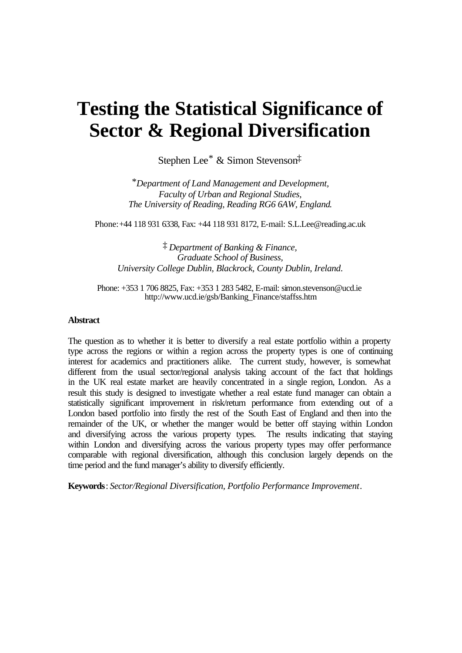# **Testing the Statistical Significance of Sector & Regional Diversification**

Stephen Lee\* & Simon Stevenson‡

\**Department of Land Management and Development, Faculty of Urban and Regional Studies, The University of Reading, Reading RG6 6AW, England*.

Phone: +44 118 931 6338, Fax: +44 118 931 8172, E-mail: S.L.Lee@reading.ac.uk

‡ *Department of Banking & Finance, Graduate School of Business, University College Dublin, Blackrock, County Dublin, Ireland*.

#### Phone: +353 1 706 8825, Fax: +353 1 283 5482, E-mail: simon.stevenson@ucd.ie http://www.ucd.ie/gsb/Banking\_Finance/staffss.htm

#### **Abstract**

The question as to whether it is better to diversify a real estate portfolio within a property type across the regions or within a region across the property types is one of continuing interest for academics and practitioners alike. The current study, however, is somewhat different from the usual sector/regional analysis taking account of the fact that holdings in the UK real estate market are heavily concentrated in a single region, London. As a result this study is designed to investigate whether a real estate fund manager can obtain a statistically significant improvement in risk/return performance from extending out of a London based portfolio into firstly the rest of the South East of England and then into the remainder of the UK, or whether the manger would be better off staying within London and diversifying across the various property types. The results indicating that staying within London and diversifying across the various property types may offer performance comparable with regional diversification, although this conclusion largely depends on the time period and the fund manager's ability to diversify efficiently.

**Keywords**: *Sector/Regional Diversification, Portfolio Performance Improvement*.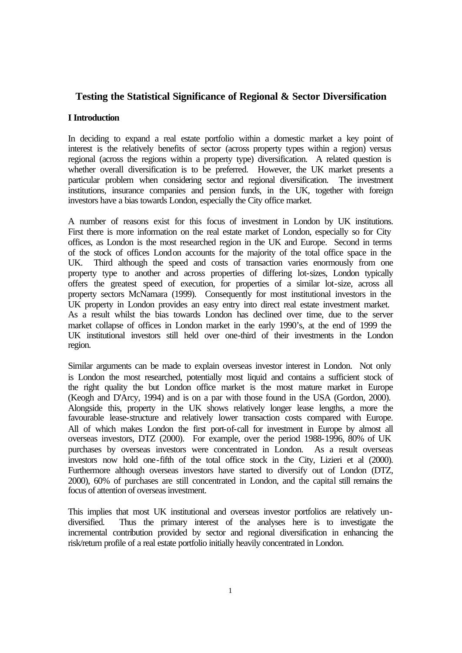# **Testing the Statistical Significance of Regional & Sector Diversification**

## **I Introduction**

In deciding to expand a real estate portfolio within a domestic market a key point of interest is the relatively benefits of sector (across property types within a region) versus regional (across the regions within a property type) diversification. A related question is whether overall diversification is to be preferred. However, the UK market presents a particular problem when considering sector and regional diversification. The investment institutions, insurance companies and pension funds, in the UK, together with foreign investors have a bias towards London, especially the City office market.

A number of reasons exist for this focus of investment in London by UK institutions. First there is more information on the real estate market of London, especially so for City offices, as London is the most researched region in the UK and Europe. Second in terms of the stock of offices London accounts for the majority of the total office space in the UK. Third although the speed and costs of transaction varies enormously from one property type to another and across properties of differing lot-sizes, London typically offers the greatest speed of execution, for properties of a similar lot-size, across all property sectors McNamara (1999). Consequently for most institutional investors in the UK property in London provides an easy entry into direct real estate investment market. As a result whilst the bias towards London has declined over time, due to the server market collapse of offices in London market in the early 1990's, at the end of 1999 the UK institutional investors still held over one-third of their investments in the London region.

Similar arguments can be made to explain overseas investor interest in London. Not only is London the most researched, potentially most liquid and contains a sufficient stock of the right quality the but London office market is the most mature market in Europe (Keogh and D'Arcy, 1994) and is on a par with those found in the USA (Gordon, 2000). Alongside this, property in the UK shows relatively longer lease lengths, a more the favourable lease-structure and relatively lower transaction costs compared with Europe. All of which makes London the first port-of-call for investment in Europe by almost all overseas investors, DTZ (2000). For example, over the period 1988-1996, 80% of UK purchases by overseas investors were concentrated in London. As a result overseas investors now hold one-fifth of the total office stock in the City, Lizieri et al (2000). Furthermore although overseas investors have started to diversify out of London (DTZ, 2000), 60% of purchases are still concentrated in London, and the capital still remains the focus of attention of overseas investment.

This implies that most UK institutional and overseas investor portfolios are relatively undiversified. Thus the primary interest of the analyses here is to investigate the incremental contribution provided by sector and regional diversification in enhancing the risk/return profile of a real estate portfolio initially heavily concentrated in London.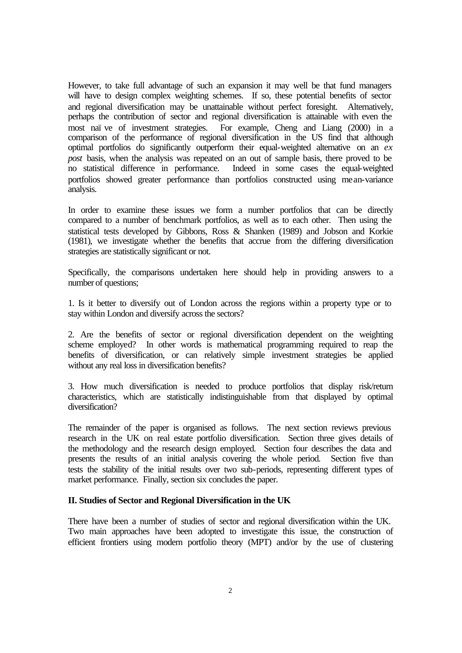However, to take full advantage of such an expansion it may well be that fund managers will have to design complex weighting schemes. If so, these potential benefits of sector and regional diversification may be unattainable without perfect foresight. Alternatively, perhaps the contribution of sector and regional diversification is attainable with even the most naïve of investment strategies. For example, Cheng and Liang (2000) in a comparison of the performance of regional diversification in the US find that although optimal portfolios do significantly outperform their equal-weighted alternative on an *ex post* basis, when the analysis was repeated on an out of sample basis, there proved to be no statistical difference in performance. Indeed in some cases the equal-weighted Indeed in some cases the equal-weighted portfolios showed greater performance than portfolios constructed using mean-variance analysis.

In order to examine these issues we form a number portfolios that can be directly compared to a number of benchmark portfolios, as well as to each other. Then using the statistical tests developed by Gibbons, Ross & Shanken (1989) and Jobson and Korkie (1981), we investigate whether the benefits that accrue from the differing diversification strategies are statistically significant or not.

Specifically, the comparisons undertaken here should help in providing answers to a number of questions;

1. Is it better to diversify out of London across the regions within a property type or to stay within London and diversify across the sectors?

2. Are the benefits of sector or regional diversification dependent on the weighting scheme employed? In other words is mathematical programming required to reap the benefits of diversification, or can relatively simple investment strategies be applied without any real loss in diversification benefits?

3. How much diversification is needed to produce portfolios that display risk/return characteristics, which are statistically indistinguishable from that displayed by optimal diversification?

The remainder of the paper is organised as follows. The next section reviews previous research in the UK on real estate portfolio diversification. Section three gives details of the methodology and the research design employed. Section four describes the data and presents the results of an initial analysis covering the whole period. Section five than tests the stability of the initial results over two sub-periods, representing different types of market performance. Finally, section six concludes the paper.

#### **II. Studies of Sector and Regional Diversification in the UK**

There have been a number of studies of sector and regional diversification within the UK. Two main approaches have been adopted to investigate this issue, the construction of efficient frontiers using modern portfolio theory (MPT) and/or by the use of clustering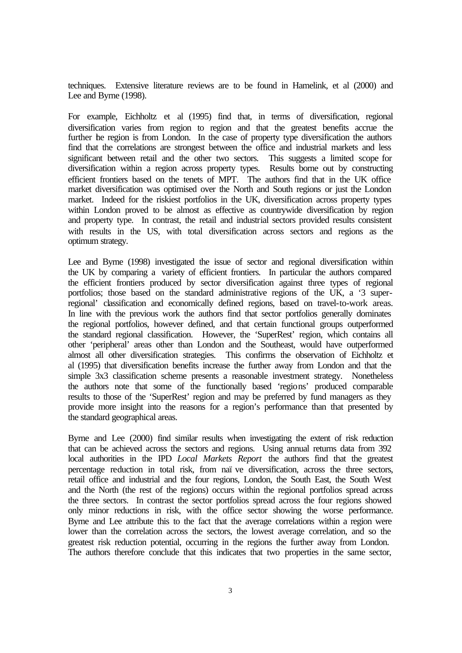techniques. Extensive literature reviews are to be found in Hamelink, et al (2000) and Lee and Byrne (1998).

For example, Eichholtz et al (1995) find that, in terms of diversification, regional diversification varies from region to region and that the greatest benefits accrue the further the region is from London. In the case of property type diversification the authors find that the correlations are strongest between the office and industrial markets and less significant between retail and the other two sectors. This suggests a limited scope for diversification within a region across property types. Results borne out by constructing efficient frontiers based on the tenets of MPT. The authors find that in the UK office market diversification was optimised over the North and South regions or just the London market. Indeed for the riskiest portfolios in the UK, diversification across property types within London proved to be almost as effective as countrywide diversification by region and property type. In contrast, the retail and industrial sectors provided results consistent with results in the US, with total diversification across sectors and regions as the optimum strategy.

Lee and Byrne (1998) investigated the issue of sector and regional diversification within the UK by comparing a variety of efficient frontiers. In particular the authors compared the efficient frontiers produced by sector diversification against three types of regional portfolios; those based on the standard administrative regions of the UK, a '3 superregional' classification and economically defined regions, based on travel-to-work areas. In line with the previous work the authors find that sector portfolios generally dominates the regional portfolios, however defined, and that certain functional groups outperformed the standard regional classification. However, the 'SuperRest' region, which contains all other 'peripheral' areas other than London and the Southeast, would have outperformed almost all other diversification strategies. This confirms the observation of Eichholtz et al (1995) that diversification benefits increase the further away from London and that the simple 3x3 classification scheme presents a reasonable investment strategy. Nonetheless the authors note that some of the functionally based 'regions' produced comparable results to those of the 'SuperRest' region and may be preferred by fund managers as they provide more insight into the reasons for a region's performance than that presented by the standard geographical areas.

Byrne and Lee (2000) find similar results when investigating the extent of risk reduction that can be achieved across the sectors and regions. Using annual returns data from 392 local authorities in the IPD *Local Markets Report* the authors find that the greatest percentage reduction in total risk, from naïve diversification, across the three sectors, retail office and industrial and the four regions, London, the South East, the South West and the North (the rest of the regions) occurs within the regional portfolios spread across the three sectors. In contrast the sector portfolios spread across the four regions showed only minor reductions in risk, with the office sector showing the worse performance. Byrne and Lee attribute this to the fact that the average correlations within a region were lower than the correlation across the sectors, the lowest average correlation, and so the greatest risk reduction potential, occurring in the regions the further away from London. The authors therefore conclude that this indicates that two properties in the same sector,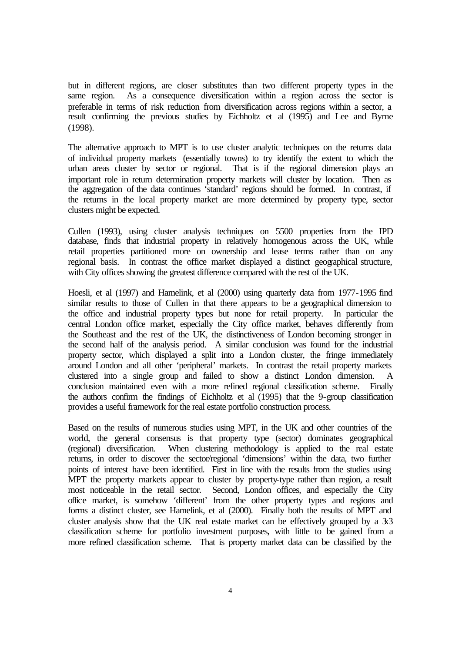but in different regions, are closer substitutes than two different property types in the same region. As a consequence diversification within a region across the sector is preferable in terms of risk reduction from diversification across regions within a sector, a result confirming the previous studies by Eichholtz et al (1995) and Lee and Byrne (1998).

The alternative approach to MPT is to use cluster analytic techniques on the returns data of individual property markets (essentially towns) to try identify the extent to which the urban areas cluster by sector or regional. That is if the regional dimension plays an important role in return determination property markets will cluster by location. Then as the aggregation of the data continues 'standard' regions should be formed. In contrast, if the returns in the local property market are more determined by property type, sector clusters might be expected.

Cullen (1993), using cluster analysis techniques on 5500 properties from the IPD database, finds that industrial property in relatively homogenous across the UK, while retail properties partitioned more on ownership and lease terms rather than on any regional basis. In contrast the office market displayed a distinct geographical structure, with City offices showing the greatest difference compared with the rest of the UK.

Hoesli, et al (1997) and Hamelink, et al (2000) using quarterly data from 1977-1995 find similar results to those of Cullen in that there appears to be a geographical dimension to the office and industrial property types but none for retail property. In particular the central London office market, especially the City office market, behaves differently from the Southeast and the rest of the UK, the distinctiveness of London becoming stronger in the second half of the analysis period. A similar conclusion was found for the industrial property sector, which displayed a split into a London cluster, the fringe immediately around London and all other 'peripheral' markets. In contrast the retail property markets clustered into a single group and failed to show a distinct London dimension. A conclusion maintained even with a more refined regional classification scheme. Finally the authors confirm the findings of Eichholtz et al (1995) that the 9-group classification provides a useful framework for the real estate portfolio construction process.

Based on the results of numerous studies using MPT, in the UK and other countries of the world, the general consensus is that property type (sector) dominates geographical (regional) diversification. When clustering methodology is applied to the real estate returns, in order to discover the sector/regional 'dimensions' within the data, two further points of interest have been identified. First in line with the results from the studies using MPT the property markets appear to cluster by property-type rather than region, a result most noticeable in the retail sector. Second, London offices, and especially the City office market, is somehow 'different' from the other property types and regions and forms a distinct cluster, see Hamelink, et al (2000). Finally both the results of MPT and cluster analysis show that the UK real estate market can be effectively grouped by a 3x3 classification scheme for portfolio investment purposes, with little to be gained from a more refined classification scheme. That is property market data can be classified by the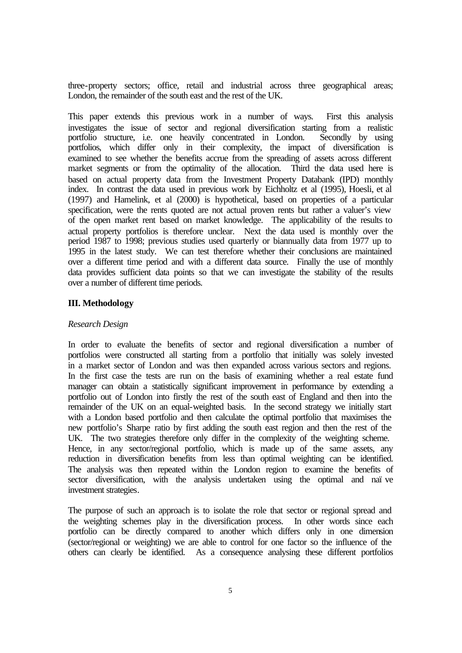three-property sectors; office, retail and industrial across three geographical areas; London, the remainder of the south east and the rest of the UK.

This paper extends this previous work in a number of ways. First this analysis investigates the issue of sector and regional diversification starting from a realistic portfolio structure, i.e. one heavily concentrated in London. Secondly by using portfolios, which differ only in their complexity, the impact of diversification is examined to see whether the benefits accrue from the spreading of assets across different market segments or from the optimality of the allocation. Third the data used here is based on actual property data from the Investment Property Databank (IPD) monthly index. In contrast the data used in previous work by Eichholtz et al (1995), Hoesli, et al (1997) and Hamelink, et al (2000) is hypothetical, based on properties of a particular specification, were the rents quoted are not actual proven rents but rather a valuer's view of the open market rent based on market knowledge. The applicability of the results to actual property portfolios is therefore unclear. Next the data used is monthly over the period 1987 to 1998; previous studies used quarterly or biannually data from 1977 up to 1995 in the latest study. We can test therefore whether their conclusions are maintained over a different time period and with a different data source. Finally the use of monthly data provides sufficient data points so that we can investigate the stability of the results over a number of different time periods.

#### **III. Methodology**

### *Research Design*

In order to evaluate the benefits of sector and regional diversification a number of portfolios were constructed all starting from a portfolio that initially was solely invested in a market sector of London and was then expanded across various sectors and regions. In the first case the tests are run on the basis of examining whether a real estate fund manager can obtain a statistically significant improvement in performance by extending a portfolio out of London into firstly the rest of the south east of England and then into the remainder of the UK on an equal-weighted basis. In the second strategy we initially start with a London based portfolio and then calculate the optimal portfolio that maximises the new portfolio's Sharpe ratio by first adding the south east region and then the rest of the UK. The two strategies therefore only differ in the complexity of the weighting scheme. Hence, in any sector/regional portfolio, which is made up of the same assets, any reduction in diversification benefits from less than optimal weighting can be identified. The analysis was then repeated within the London region to examine the benefits of sector diversification, with the analysis undertaken using the optimal and naïve investment strategies.

The purpose of such an approach is to isolate the role that sector or regional spread and the weighting schemes play in the diversification process. In other words since each portfolio can be directly compared to another which differs only in one dimension (sector/regional or weighting) we are able to control for one factor so the influence of the others can clearly be identified. As a consequence analysing these different portfolios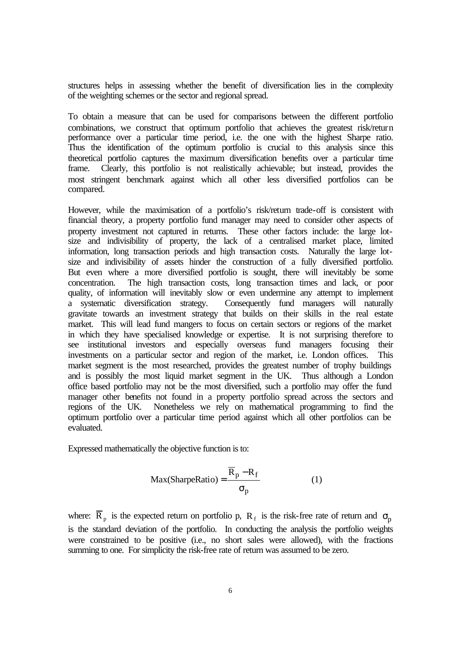structures helps in assessing whether the benefit of diversification lies in the complexity of the weighting schemes or the sector and regional spread.

To obtain a measure that can be used for comparisons between the different portfolio combinations, we construct that optimum portfolio that achieves the greatest risk/return performance over a particular time period, i.e. the one with the highest Sharpe ratio. Thus the identification of the optimum portfolio is crucial to this analysis since this theoretical portfolio captures the maximum diversification benefits over a particular time frame. Clearly, this portfolio is not realistically achievable; but instead, provides the most stringent benchmark against which all other less diversified portfolios can be compared.

However, while the maximisation of a portfolio's risk/return trade-off is consistent with financial theory, a property portfolio fund manager may need to consider other aspects of property investment not captured in returns. These other factors include: the large lotsize and indivisibility of property, the lack of a centralised market place, limited information, long transaction periods and high transaction costs. Naturally the large lotsize and indivisibility of assets hinder the construction of a fully diversified portfolio. But even where a more diversified portfolio is sought, there will inevitably be some concentration. The high transaction costs, long transaction times and lack, or poor quality, of information will inevitably slow or even undermine any attempt to implement a systematic diversification strategy. Consequently fund managers will naturally gravitate towards an investment strategy that builds on their skills in the real estate market. This will lead fund mangers to focus on certain sectors or regions of the market in which they have specialised knowledge or expertise. It is not surprising therefore to see institutional investors and especially overseas fund managers focusing their investments on a particular sector and region of the market, i.e. London offices. This market segment is the most researched, provides the greatest number of trophy buildings and is possibly the most liquid market segment in the UK. Thus although a London office based portfolio may not be the most diversified, such a portfolio may offer the fund manager other benefits not found in a property portfolio spread across the sectors and regions of the UK. Nonetheless we rely on mathematical programming to find the optimum portfolio over a particular time period against which all other portfolios can be evaluated.

Expressed mathematically the objective function is to:

$$
Max(SharpeRatio) = \frac{\overline{R}_p - R_f}{\sigma_p}
$$
 (1)

where:  $R_p$  is the expected return on portfolio p,  $R_f$  is the risk-free rate of return and  $\sigma_p$ is the standard deviation of the portfolio. In conducting the analysis the portfolio weights were constrained to be positive (i.e., no short sales were allowed), with the fractions summing to one. For simplicity the risk-free rate of return was assumed to be zero.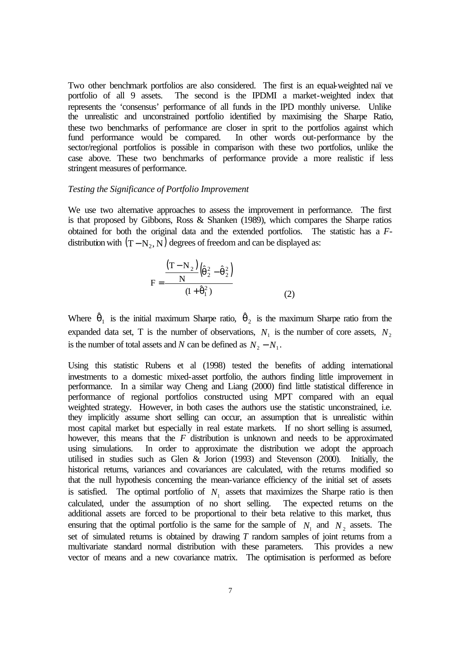Two other benchmark portfolios are also considered. The first is an equal-weighted naïve portfolio of all 9 assets. The second is the IPDMI a market-weighted index that represents the 'consensus' performance of all funds in the IPD monthly universe. Unlike the unrealistic and unconstrained portfolio identified by maximising the Sharpe Ratio, these two benchmarks of performance are closer in sprit to the portfolios against which fund performance would be compared. In other words out-performance by the sector/regional portfolios is possible in comparison with these two portfolios, unlike the case above. These two benchmarks of performance provide a more realistic if less stringent measures of performance.

#### *Testing the Significance of Portfolio Improvement*

We use two alternative approaches to assess the improvement in performance. The first is that proposed by Gibbons, Ross & Shanken (1989), which compares the Sharpe ratios obtained for both the original data and the extended portfolios. The statistic has a *F*distribution with  $(T - N_2, N)$  degrees of freedom and can be displayed as:

$$
F = \frac{\left(T - N_2\right)\left(\hat{\theta}_2^2 - \hat{\theta}_2^2\right)}{(1 + \hat{\theta}_1^2)}
$$
(2)

Where  $\hat{\theta}_1$  is the initial maximum Sharpe ratio,  $\hat{\theta}_2$  is the maximum Sharpe ratio from the expanded data set, T is the number of observations,  $N_1$  is the number of core assets,  $N_2$ is the number of total assets and *N* can be defined as  $N_2 - N_1$ .

Using this statistic Rubens et al (1998) tested the benefits of adding international investments to a domestic mixed-asset portfolio, the authors finding little improvement in performance. In a similar way Cheng and Liang (2000) find little statistical difference in performance of regional portfolios constructed using MPT compared with an equal weighted strategy. However, in both cases the authors use the statistic unconstrained, i.e. they implicitly assume short selling can occur, an assumption that is unrealistic within most capital market but especially in real estate markets. If no short selling is assumed, however, this means that the *F* distribution is unknown and needs to be approximated using simulations. In order to approximate the distribution we adopt the approach utilised in studies such as Glen & Jorion (1993) and Stevenson (2000). Initially, the historical returns, variances and covariances are calculated, with the returns modified so that the null hypothesis concerning the mean-variance efficiency of the initial set of assets is satisfied. The optimal portfolio of  $N<sub>1</sub>$  assets that maximizes the Sharpe ratio is then calculated, under the assumption of no short selling. The expected returns on the additional assets are forced to be proportional to their beta relative to this market, thus ensuring that the optimal portfolio is the same for the sample of  $N_1$  and  $N_2$  assets. The set of simulated returns is obtained by drawing *T* random samples of joint returns from a multivariate standard normal distribution with these parameters. This provides a new vector of means and a new covariance matrix. The optimisation is performed as before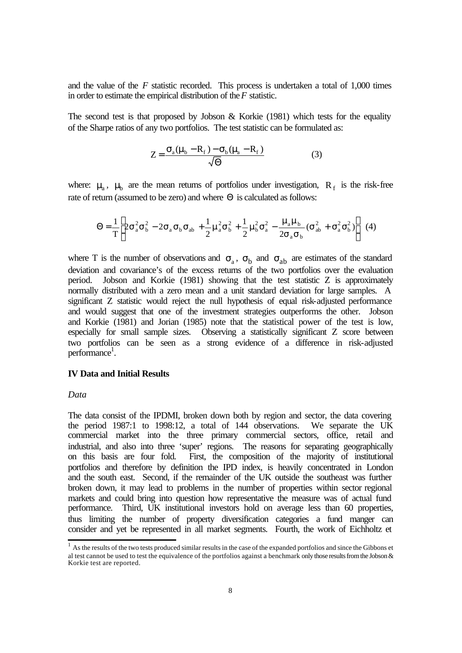and the value of the *F* statistic recorded. This process is undertaken a total of 1,000 times in order to estimate the empirical distribution of the *F* statistic.

The second test is that proposed by Jobson & Korkie (1981) which tests for the equality of the Sharpe ratios of any two portfolios. The test statistic can be formulated as:

$$
Z = \frac{\sigma_a(\mu_b - R_f) - \sigma_b(\mu_a - R_f)}{\sqrt{\Theta}}\tag{3}
$$

where:  $\mu_a$ ,  $\mu_b$  are the mean returns of portfolios under investigation,  $R_f$  is the risk-free rate of return (assumed to be zero) and where  $\Theta$  is calculated as follows:

$$
\Theta = \frac{1}{T} \left[ 2\sigma_a^2 \sigma_b^2 - 2\sigma_a \sigma_b \sigma_{ab} + \frac{1}{2} \mu_a^2 \sigma_b^2 + \frac{1}{2} \mu_b^2 \sigma_a^2 - \frac{\mu_a \mu_b}{2\sigma_a \sigma_b} (\sigma_{ab}^2 + \sigma_a^2 \sigma_b^2) \right] (4)
$$

where T is the number of observations and  $\sigma_a$ ,  $\sigma_b$  and  $\sigma_{ab}$  are estimates of the standard deviation and covariance's of the excess returns of the two portfolios over the evaluation period. Jobson and Korkie (1981) showing that the test statistic Z is approximately normally distributed with a zero mean and a unit standard deviation for large samples. A significant Z statistic would reject the null hypothesis of equal risk-adjusted performance and would suggest that one of the investment strategies outperforms the other. Jobson and Korkie (1981) and Jorian (1985) note that the statistical power of the test is low, especially for small sample sizes. Observing a statistically significant Z score between two portfolios can be seen as a strong evidence of a difference in risk-adjusted performance<sup>1</sup>.

#### **IV Data and Initial Results**

#### *Data*

l

The data consist of the IPDMI, broken down both by region and sector, the data covering the period 1987:1 to 1998:12, a total of 144 observations. We separate the UK commercial market into the three primary commercial sectors, office, retail and industrial, and also into three 'super' regions. The reasons for separating geographically on this basis are four fold. First, the composition of the majority of institutional portfolios and therefore by definition the IPD index, is heavily concentrated in London and the south east. Second, if the remainder of the UK outside the southeast was further broken down, it may lead to problems in the number of properties within sector regional markets and could bring into question how representative the measure was of actual fund performance. Third, UK institutional investors hold on average less than 60 properties, thus limiting the number of property diversification categories a fund manger can consider and yet be represented in all market segments. Fourth, the work of Eichholtz et

 $<sup>1</sup>$  As the results of the two tests produced similar results in the case of the expanded portfolios and since the Gibbons et</sup> al test cannot be used to test the equivalence of the portfolios against a benchmark only those results from the Jobson & Korkie test are reported.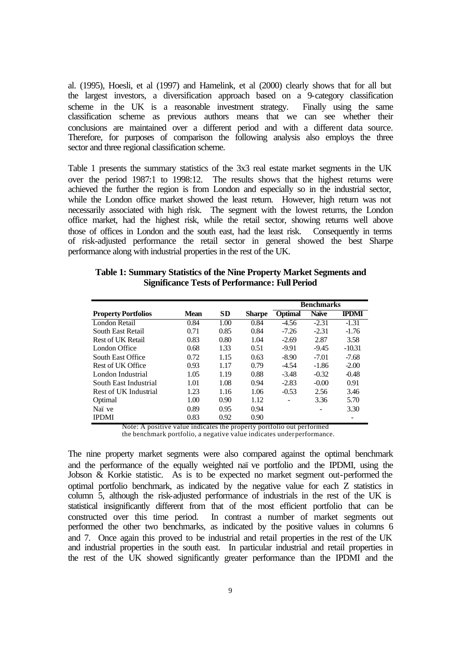al. (1995), Hoesli, et al (1997) and Hamelink, et al (2000) clearly shows that for all but the largest investors, a diversification approach based on a 9-category classification scheme in the UK is a reasonable investment strategy. Finally using the same classification scheme as previous authors means that we can see whether their conclusions are maintained over a different period and with a different data source. Therefore, for purposes of comparison the following analysis also employs the three sector and three regional classification scheme.

Table 1 presents the summary statistics of the 3x3 real estate market segments in the UK over the period 1987:1 to 1998:12. The results shows that the highest returns were achieved the further the region is from London and especially so in the industrial sector, while the London office market showed the least return. However, high return was not necessarily associated with high risk. The segment with the lowest returns, the London office market, had the highest risk, while the retail sector, showing returns well above those of offices in London and the south east, had the least risk. Consequently in terms of risk-adjusted performance the retail sector in general showed the best Sharpe performance along with industrial properties in the rest of the UK.

|                            |      |           |               |         | <b>Benchmarks</b> |              |
|----------------------------|------|-----------|---------------|---------|-------------------|--------------|
| <b>Property Portfolios</b> | Mean | <b>SD</b> | <b>Sharpe</b> | Optimal | <b>Naïve</b>      | <b>IPDMI</b> |
| London Retail              | 0.84 | 1.00      | 0.84          | $-4.56$ | $-2.31$           | $-1.31$      |
| South East Retail          | 0.71 | 0.85      | 0.84          | $-7.26$ | $-2.31$           | $-1.76$      |
| Rest of UK Retail          | 0.83 | 0.80      | 1.04          | $-2.69$ | 2.87              | 3.58         |
| London Office              | 0.68 | 1.33      | 0.51          | $-9.91$ | $-9.45$           | $-10.31$     |
| South East Office          | 0.72 | 1.15      | 0.63          | $-8.90$ | $-7.01$           | $-7.68$      |
| Rest of UK Office          | 0.93 | 1.17      | 0.79          | $-4.54$ | $-1.86$           | $-2.00$      |
| London Industrial          | 1.05 | 1.19      | 0.88          | $-3.48$ | $-0.32$           | $-0.48$      |
| South East Industrial      | 1.01 | 1.08      | 0.94          | $-2.83$ | $-0.00$           | 0.91         |
| Rest of UK Industrial      | 1.23 | 1.16      | 1.06          | $-0.53$ | 2.56              | 3.46         |
| Optimal                    | 1.00 | 0.90      | 1.12          |         | 3.36              | 5.70         |
| Naï ve                     | 0.89 | 0.95      | 0.94          |         |                   | 3.30         |
| <b>IPDMI</b>               | 0.83 | 0.92      | 0.90          |         |                   |              |

**Table 1: Summary Statistics of the Nine Property Market Segments and Significance Tests of Performance: Full Period**

Note: A positive value indicates the property portfolio out performed

the benchmark portfolio, a negative value indicates under performance.

The nine property market segments were also compared against the optimal benchmark and the performance of the equally weighted naïve portfolio and the IPDMI, using the Jobson & Korkie statistic. As is to be expected no market segment out-performed the optimal portfolio benchmark, as indicated by the negative value for each Z statistics in column 5, although the risk-adjusted performance of industrials in the rest of the UK is statistical insignificantly different from that of the most efficient portfolio that can be constructed over this time period. In contrast a number of market segments out performed the other two benchmarks, as indicated by the positive values in columns 6 and 7. Once again this proved to be industrial and retail properties in the rest of the UK and industrial properties in the south east. In particular industrial and retail properties in the rest of the UK showed significantly greater performance than the IPDMI and the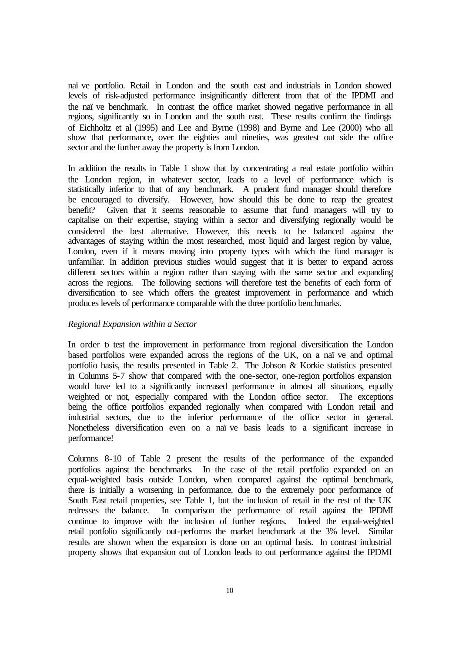naïve portfolio. Retail in London and the south east and industrials in London showed levels of risk-adjusted performance insignificantly different from that of the IPDMI and the naïve benchmark. In contrast the office market showed negative performance in all regions, significantly so in London and the south east. These results confirm the findings of Eichholtz et al (1995) and Lee and Byrne (1998) and Byrne and Lee (2000) who all show that performance, over the eighties and nineties, was greatest out side the office sector and the further away the property is from London.

In addition the results in Table 1 show that by concentrating a real estate portfolio within the London region, in whatever sector, leads to a level of performance which is statistically inferior to that of any benchmark. A prudent fund manager should therefore be encouraged to diversify. However, how should this be done to reap the greatest benefit? Given that it seems reasonable to assume that fund managers will try to capitalise on their expertise, staying within a sector and diversifying regionally would be considered the best alternative. However, this needs to be balanced against the advantages of staying within the most researched, most liquid and largest region by value, London, even if it means moving into property types with which the fund manager is unfamiliar. In addition previous studies would suggest that it is better to expand across different sectors within a region rather than staying with the same sector and expanding across the regions. The following sections will therefore test the benefits of each form of diversification to see which offers the greatest improvement in performance and which produces levels of performance comparable with the three portfolio benchmarks.

#### *Regional Expansion within a Sector*

In order to test the improvement in performance from regional diversification the London based portfolios were expanded across the regions of the UK, on a naï ve and optimal portfolio basis, the results presented in Table 2. The Jobson & Korkie statistics presented in Columns 5-7 show that compared with the one-sector, one-region portfolios expansion would have led to a significantly increased performance in almost all situations, equally weighted or not, especially compared with the London office sector. The exceptions being the office portfolios expanded regionally when compared with London retail and industrial sectors, due to the inferior performance of the office sector in general. Nonetheless diversification even on a naïve basis leads to a significant increase in performance!

Columns 8-10 of Table 2 present the results of the performance of the expanded portfolios against the benchmarks. In the case of the retail portfolio expanded on an equal-weighted basis outside London, when compared against the optimal benchmark, there is initially a worsening in performance, due to the extremely poor performance of South East retail properties, see Table 1, but the inclusion of retail in the rest of the UK redresses the balance. In comparison the performance of retail against the IPDMI continue to improve with the inclusion of further regions. Indeed the equal-weighted retail portfolio significantly out-performs the market benchmark at the 3% level. Similar results are shown when the expansion is done on an optimal basis. In contrast industrial property shows that expansion out of London leads to out performance against the IPDMI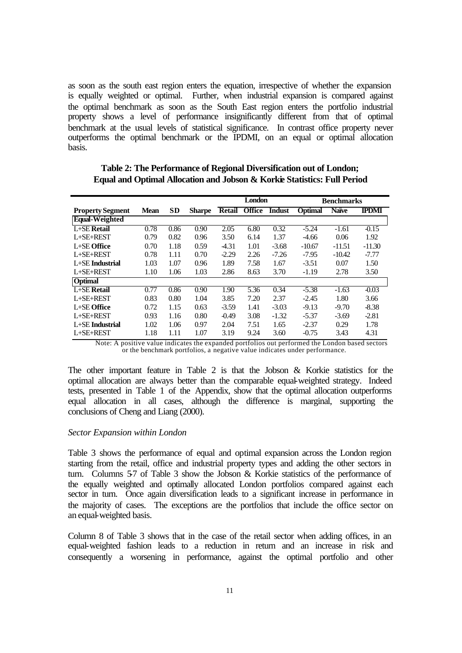as soon as the south east region enters the equation, irrespective of whether the expansion is equally weighted or optimal. Further, when industrial expansion is compared against the optimal benchmark as soon as the South East region enters the portfolio industrial property shows a level of performance insignificantly different from that of optimal benchmark at the usual levels of statistical significance. In contrast office property never outperforms the optimal benchmark or the IPDMI, on an equal or optimal allocation basis.

|                         |             |           |               |               | London        |               |          | <b>Benchmarks</b> |              |
|-------------------------|-------------|-----------|---------------|---------------|---------------|---------------|----------|-------------------|--------------|
| <b>Property Segment</b> | <b>Mean</b> | <b>SD</b> | <b>Sharpe</b> | <b>Retail</b> | <b>Office</b> | <b>Indust</b> | Optimal  | <b>Naïve</b>      | <b>IPDMI</b> |
| <b>Equal-Weighted</b>   |             |           |               |               |               |               |          |                   |              |
| <b>L</b> +SE Retail     | 0.78        | 0.86      | 0.90          | 2.05          | 6.80          | 0.32          | $-5.24$  | $-1.61$           | $-0.15$      |
| $L+SE+REST$             | 0.79        | 0.82      | 0.96          | 3.50          | 6.14          | 1.37          | $-4.66$  | 0.06              | 1.92         |
| $L+SE$ Office           | 0.70        | 1.18      | 0.59          | $-4.31$       | 1.01          | $-3.68$       | $-10.67$ | $-11.51$          | $-11.30$     |
| $L+SE+REST$             | 0.78        | 1.11      | 0.70          | $-2.29$       | 2.26          | $-7.26$       | $-7.95$  | $-10.42$          | $-7.77$      |
| $L+SE$ Industrial       | 1.03        | 1.07      | 0.96          | 1.89          | 7.58          | 1.67          | $-3.51$  | 0.07              | 1.50         |
| $L+SE+REST$             | 1.10        | 1.06      | 1.03          | 2.86          | 8.63          | 3.70          | $-1.19$  | 2.78              | 3.50         |
| <b>Optimal</b>          |             |           |               |               |               |               |          |                   |              |
| <b>L</b> +SE Retail     | 0.77        | 0.86      | 0.90          | 1.90          | 5.36          | 0.34          | $-5.38$  | $-1.63$           | $-0.03$      |
| $L+SE+REST$             | 0.83        | 0.80      | 1.04          | 3.85          | 7.20          | 2.37          | $-2.45$  | 1.80              | 3.66         |
| $L+SE$ Office           | 0.72        | 1.15      | 0.63          | $-3.59$       | 1.41          | $-3.03$       | $-9.13$  | $-9.70$           | $-8.38$      |
| $L+SE+REST$             | 0.93        | 1.16      | 0.80          | $-0.49$       | 3.08          | $-1.32$       | $-5.37$  | $-3.69$           | $-2.81$      |
| $L+SE$ Industrial       | 1.02        | 1.06      | 0.97          | 2.04          | 7.51          | 1.65          | $-2.37$  | 0.29              | 1.78         |
| L+SE+REST               | 1.18        | 1.11      | 1.07          | 3.19          | 9.24          | 3.60          | $-0.75$  | 3.43              | 4.31         |

**Table 2: The Performance of Regional Diversification out of London; Equal and Optimal Allocation and Jobson & Korkie Statistics: Full Period**

Note: A positive value indicates the expanded portfolios out performed the London based sectors or the benchmark portfolios, a negative value indicates under performance.

The other important feature in Table 2 is that the Jobson & Korkie statistics for the optimal allocation are always better than the comparable equal-weighted strategy. Indeed tests, presented in Table 1 of the Appendix, show that the optimal allocation outperforms equal allocation in all cases, although the difference is marginal, supporting the conclusions of Cheng and Liang (2000).

#### *Sector Expansion within London*

Table 3 shows the performance of equal and optimal expansion across the London region starting from the retail, office and industrial property types and adding the other sectors in turn. Columns 57 of Table 3 show the Jobson & Korkie statistics of the performance of the equally weighted and optimally allocated London portfolios compared against each sector in turn. Once again diversification leads to a significant increase in performance in the majority of cases. The exceptions are the portfolios that include the office sector on an equal-weighted basis.

Column 8 of Table 3 shows that in the case of the retail sector when adding offices, in an equal-weighted fashion leads to a reduction in return and an increase in risk and consequently a worsening in performance, against the optimal portfolio and other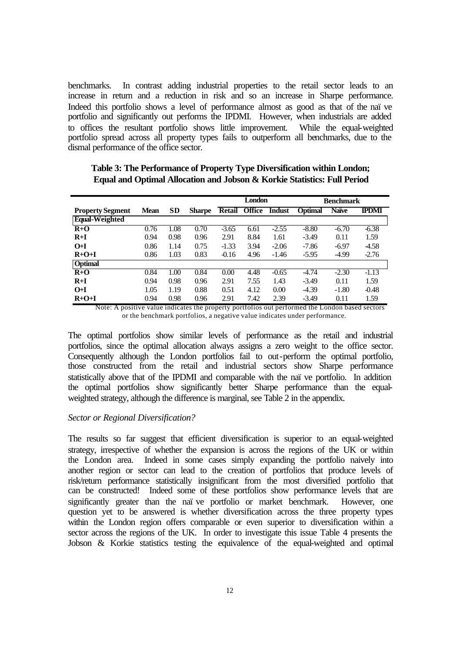benchmarks. In contrast adding industrial properties to the retail sector leads to an increase in return and a reduction in risk and so an increase in Sharpe performance. Indeed this portfolio shows a level of performance almost as good as that of the naïve portfolio and significantly out performs the IPDMI. However, when industrials are added to offices the resultant portfolio shows little improvement. While the equal-weighted portfolio spread across all property types fails to outperform all benchmarks, due to the dismal performance of the office sector.

|                         |      |           |               |               | London        |               |         | <b>Benchmark</b> |              |
|-------------------------|------|-----------|---------------|---------------|---------------|---------------|---------|------------------|--------------|
| <b>Property Segment</b> | Mean | <b>SD</b> | <b>Sharpe</b> | <b>Retail</b> | <b>Office</b> | <b>Indust</b> | Optimal | <b>Naïve</b>     | <b>IPDMI</b> |
| <b>Equal-Weighted</b>   |      |           |               |               |               |               |         |                  |              |
| $R+O$                   | 0.76 | 1.08      | 0.70          | $-3.65$       | 6.61          | $-2.55$       | $-8.80$ | $-6.70$          | $-6.38$      |
| $R+I$                   | 0.94 | 0.98      | 0.96          | 2.91          | 8.84          | 1.61          | $-3.49$ | 0.11             | 1.59         |
| $O+I$                   | 0.86 | 1.14      | 0.75          | $-1.33$       | 3.94          | $-2.06$       | $-7.86$ | $-6.97$          | -4.58        |
| $R+O+I$                 | 0.86 | 1.03      | 0.83          | $-0.16$       | 4.96          | $-1.46$       | $-5.95$ | $-4.99$          | $-2.76$      |
| Optimal                 |      |           |               |               |               |               |         |                  |              |
| $R+O$                   | 0.84 | 1.00      | 0.84          | 0.00          | 4.48          | $-0.65$       | $-4.74$ | $-2.30$          | $-1.13$      |
| $R+I$                   | 0.94 | 0.98      | 0.96          | 2.91          | 7.55          | 1.43          | $-3.49$ | 0.11             | 1.59         |
| $O+I$                   | 1.05 | 1.19      | 0.88          | 0.51          | 4.12          | 0.00          | $-4.39$ | $-1.80$          | $-0.48$      |
| $R+O+I$                 | 0.94 | 0.98      | 0.96          | 2.91          | 7.42          | 2.39          | $-3.49$ | 0.11             | 1.59         |

## **Table 3: The Performance of Property Type Diversification within London; Equal and Optimal Allocation and Jobson & Korkie Statistics: Full Period**

Note: A positive value indicates the property portfolios out performed the London based sectors or the benchmark portfolios, a negative value indicates under performance.

The optimal portfolios show similar levels of performance as the retail and industrial portfolios, since the optimal allocation always assigns a zero weight to the office sector. Consequently although the London portfolios fail to out-perform the optimal portfolio, those constructed from the retail and industrial sectors show Sharpe performance statistically above that of the IPDMI and comparable with the naïve portfolio. In addition the optimal portfolios show significantly better Sharpe performance than the equalweighted strategy, although the difference is marginal, see Table 2 in the appendix.

## *Sector or Regional Diversification?*

The results so far suggest that efficient diversification is superior to an equal-weighted strategy, irrespective of whether the expansion is across the regions of the UK or within the London area. Indeed in some cases simply expanding the portfolio naively into another region or sector can lead to the creation of portfolios that produce levels of risk/return performance statistically insignificant from the most diversified portfolio that can be constructed! Indeed some of these portfolios show performance levels that are significantly greater than the naïve portfolio or market benchmark. However, one question yet to be answered is whether diversification across the three property types within the London region offers comparable or even superior to diversification within a sector across the regions of the UK. In order to investigate this issue Table 4 presents the Jobson & Korkie statistics testing the equivalence of the equal-weighted and optimal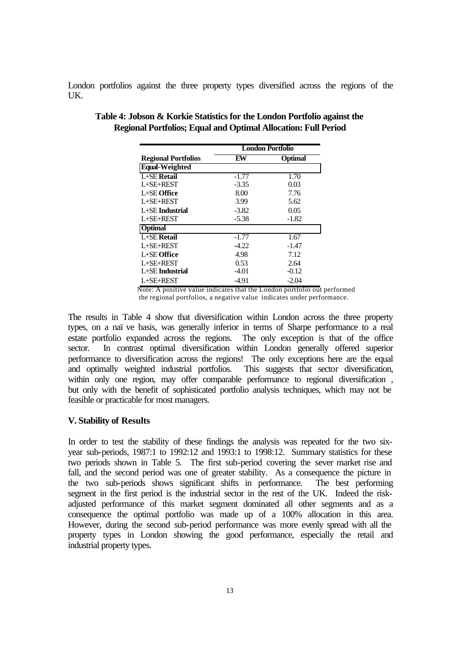London portfolios against the three property types diversified across the regions of the UK.

|                            | <b>London Portfolio</b> |                |  |  |  |
|----------------------------|-------------------------|----------------|--|--|--|
| <b>Regional Portfolios</b> | EW                      | <b>Optimal</b> |  |  |  |
| <b>Equal-Weighted</b>      |                         |                |  |  |  |
| <b>L</b> +SE Retail        | $-1.77$                 | 1.70           |  |  |  |
| L+SE+REST                  | $-3.35$                 | 0.03           |  |  |  |
| L+SE <b>Office</b>         | 8.00                    | 7.76           |  |  |  |
| L+SE+REST                  | 3.99                    | 5.62           |  |  |  |
| L+SE Industrial            | $-3.82$                 | 0.05           |  |  |  |
| L+SE+REST                  | $-5.38$                 | $-1.82$        |  |  |  |
| <b>Optimal</b>             |                         |                |  |  |  |
| <b>L</b> +SE Retail        | $-1.77$                 | 1.67           |  |  |  |
| L+SE+REST                  | $-4.22$                 | $-1.47$        |  |  |  |
| L+SE <b>Office</b>         | 4.98                    | 7.12           |  |  |  |
| $L+SE+REST$                | 0.53                    | 2.64           |  |  |  |
| L+SE Industrial            | $-4.01$                 | $-0.12$        |  |  |  |
| L+SE+REST                  | $-4.91$                 | $-2.04$        |  |  |  |

**Table 4: Jobson & Korkie Statistics for the London Portfolio against the Regional Portfolios; Equal and Optimal Allocation: Full Period**

 Note: A positive value indicates that the London portfolio out performed the regional portfolios, a negative value indicates under performance.

The results in Table 4 show that diversification within London across the three property types, on a naïve basis, was generally inferior in terms of Sharpe performance to a real estate portfolio expanded across the regions. The only exception is that of the office sector. In contrast optimal diversification within London generally offered superior performance to diversification across the regions! The only exceptions here are the equal and optimally weighted industrial portfolios. This suggests that sector diversification, and optimally weighted industrial portfolios. within only one region, may offer comparable performance to regional diversification , but only with the benefit of sophisticated portfolio analysis techniques, which may not be feasible or practicable for most managers.

## **V. Stability of Results**

In order to test the stability of these findings the analysis was repeated for the two sixyear sub-periods, 1987:1 to 1992:12 and 1993:1 to 1998:12. Summary statistics for these two periods shown in Table 5. The first sub-period covering the sever market rise and fall, and the second period was one of greater stability. As a consequence the picture in the two sub-periods shows significant shifts in performance. The best performing segment in the first period is the industrial sector in the rest of the UK. Indeed the riskadjusted performance of this market segment dominated all other segments and as a consequence the optimal portfolio was made up of a 100% allocation in this area. However, during the second sub-period performance was more evenly spread with all the property types in London showing the good performance, especially the retail and industrial property types.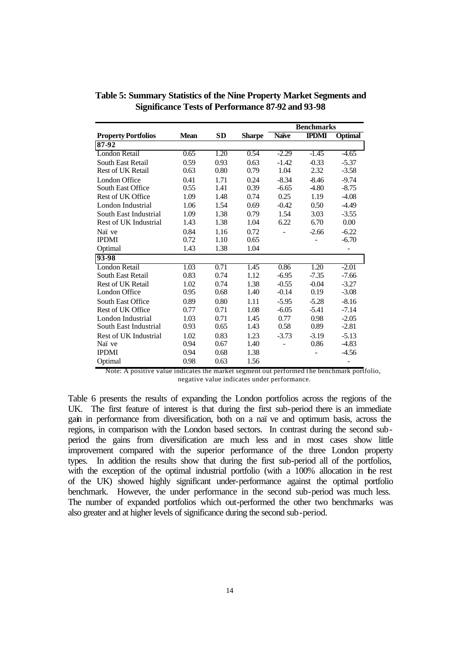|                            |             |           |               |              | <b>Benchmarks</b> |                |
|----------------------------|-------------|-----------|---------------|--------------|-------------------|----------------|
| <b>Property Portfolios</b> | <b>Mean</b> | <b>SD</b> | <b>Sharpe</b> | <b>Naïve</b> | <b>IPDMI</b>      | <b>Optimal</b> |
| 87-92                      |             |           |               |              |                   |                |
| <b>London Retail</b>       | 0.65        | 1.20      | 0.54          | $-2.29$      | $-1.45$           | $-4.65$        |
| <b>South East Retail</b>   | 0.59        | 0.93      | 0.63          | $-1.42$      | $-0.33$           | $-5.37$        |
| <b>Rest of UK Retail</b>   | 0.63        | 0.80      | 0.79          | 1.04         | 2.32              | $-3.58$        |
| London Office              | 0.41        | 1.71      | 0.24          | $-8.34$      | $-8.46$           | $-9.74$        |
| South East Office          | 0.55        | 1.41      | 0.39          | $-6.65$      | -4.80             | $-8.75$        |
| Rest of UK Office          | 1.09        | 1.48      | 0.74          | 0.25         | 1.19              | $-4.08$        |
| London Industrial          | 1.06        | 1.54      | 0.69          | $-0.42$      | 0.50              | $-4.49$        |
| South East Industrial      | 1.09        | 1.38      | 0.79          | 1.54         | 3.03              | $-3.55$        |
| Rest of UK Industrial      | 1.43        | 1.38      | 1.04          | 6.22         | 6.70              | 0.00           |
| Naï ve                     | 0.84        | 1.16      | 0.72          |              | $-2.66$           | $-6.22$        |
| <b>IPDMI</b>               | 0.72        | 1.10      | 0.65          |              |                   | $-6.70$        |
| Optimal                    | 1.43        | 1.38      | 1.04          |              |                   |                |
| 93-98                      |             |           |               |              |                   |                |
| <b>London Retail</b>       | 1.03        | 0.71      | 1.45          | 0.86         | 1.20              | $-2.01$        |
| South East Retail          | 0.83        | 0.74      | 1.12          | $-6.95$      | $-7.35$           | $-7.66$        |
| <b>Rest of UK Retail</b>   | 1.02        | 0.74      | 1.38          | $-0.55$      | $-0.04$           | $-3.27$        |
| London Office              | 0.95        | 0.68      | 1.40          | $-0.14$      | 0.19              | $-3.08$        |
| South East Office          | 0.89        | 0.80      | 1.11          | $-5.95$      | $-5.28$           | $-8.16$        |
| Rest of UK Office          | 0.77        | 0.71      | 1.08          | $-6.05$      | $-5.41$           | $-7.14$        |
| London Industrial          | 1.03        | 0.71      | 1.45          | 0.77         | 0.98              | $-2.05$        |
| South East Industrial      | 0.93        | 0.65      | 1.43          | 0.58         | 0.89              | $-2.81$        |
| Rest of UK Industrial      | 1.02        | 0.83      | 1.23          | $-3.73$      | $-3.19$           | $-5.13$        |
| Naï ve                     | 0.94        | 0.67      | 1.40          |              | 0.86              | $-4.83$        |
| <b>IPDMI</b>               | 0.94        | 0.68      | 1.38          |              |                   | $-4.56$        |
| Optimal                    | 0.98        | 0.63      | 1.56          |              |                   |                |

**Table 5: Summary Statistics of the Nine Property Market Segments and Significance Tests of Performance 87-92 and 93-98**

 Note: A positive value indicates the market segment out performed the benchmark portfolio, negative value indicates under performance.

Table 6 presents the results of expanding the London portfolios across the regions of the UK. The first feature of interest is that during the first sub-period there is an immediate gain in performance from diversification, both on a naïve and optimum basis, across the regions, in comparison with the London based sectors. In contrast during the second subperiod the gains from diversification are much less and in most cases show little improvement compared with the superior performance of the three London property types. In addition the results show that during the first sub-period all of the portfolios, with the exception of the optimal industrial portfolio (with a 100% allocation in the rest of the UK) showed highly significant under-performance against the optimal portfolio benchmark. However, the under performance in the second sub-period was much less. The number of expanded portfolios which out-performed the other two benchmarks was also greater and at higher levels of significance during the second sub-period.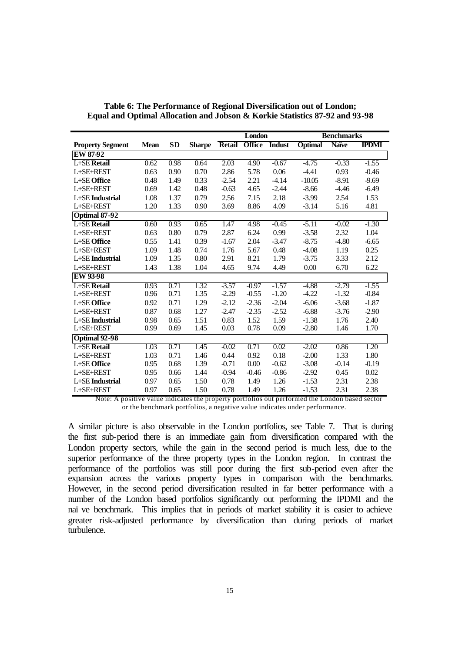|                         |             |           |               |               | London        |               |                | <b>Benchmarks</b> |              |
|-------------------------|-------------|-----------|---------------|---------------|---------------|---------------|----------------|-------------------|--------------|
| <b>Property Segment</b> | <b>Mean</b> | <b>SD</b> | <b>Sharpe</b> | <b>Retail</b> | <b>Office</b> | <b>Indust</b> | <b>Optimal</b> | <b>Naïve</b>      | <b>IPDMI</b> |
| <b>EW 87-92</b>         |             |           |               |               |               |               |                |                   |              |
| <b>L+SE</b> Retail      | 0.62        | 0.98      | 0.64          | 2.03          | 4.90          | $-0.67$       | $-4.75$        | $-0.33$           | $-1.55$      |
| L+SE+REST               | 0.63        | 0.90      | 0.70          | 2.86          | 5.78          | 0.06          | $-4.41$        | 0.93              | $-0.46$      |
| <b>L+SE Office</b>      | 0.48        | 1.49      | 0.33          | $-2.54$       | 2.21          | $-4.14$       | $-10.05$       | $-8.91$           | $-9.69$      |
| L+SE+REST               | 0.69        | 1.42      | 0.48          | $-0.63$       | 4.65          | $-2.44$       | $-8.66$        | $-4.46$           | $-6.49$      |
| L+SE Industrial         | 1.08        | 1.37      | 0.79          | 2.56          | 7.15          | 2.18          | $-3.99$        | 2.54              | 1.53         |
| L+SE+REST               | 1.20        | 1.33      | 0.90          | 3.69          | 8.86          | 4.09          | $-3.14$        | 5.16              | 4.81         |
| Optimal 87-92           |             |           |               |               |               |               |                |                   |              |
| <b>L+SE</b> Retail      | 0.60        | 0.93      | 0.65          | 1.47          | 4.98          | $-0.45$       | $-5.11$        | $-0.02$           | $-1.30$      |
| L+SE+REST               | 0.63        | 0.80      | 0.79          | 2.87          | 6.24          | 0.99          | $-3.58$        | 2.32              | 1.04         |
| L+SE Office             | 0.55        | 1.41      | 0.39          | $-1.67$       | 2.04          | $-3.47$       | $-8.75$        | $-4.80$           | $-6.65$      |
| L+SE+REST               | 1.09        | 1.48      | 0.74          | 1.76          | 5.67          | 0.48          | $-4.08$        | 1.19              | 0.25         |
| L+SE Industrial         | 1.09        | 1.35      | 0.80          | 2.91          | 8.21          | 1.79          | $-3.75$        | 3.33              | 2.12         |
| L+SE+REST               | 1.43        | 1.38      | 1.04          | 4.65          | 9.74          | 4.49          | 0.00           | 6.70              | 6.22         |
| <b>EW 93-98</b>         |             |           |               |               |               |               |                |                   |              |
| <b>L+SE</b> Retail      | 0.93        | 0.71      | 1.32          | $-3.57$       | $-0.97$       | $-1.57$       | $-4.88$        | $-2.79$           | $-1.55$      |
| L+SE+REST               | 0.96        | 0.71      | 1.35          | $-2.29$       | $-0.55$       | $-1.20$       | $-4.22$        | $-1.32$           | $-0.84$      |
| L+SE Office             | 0.92        | 0.71      | 1.29          | $-2.12$       | $-2.36$       | $-2.04$       | $-6.06$        | $-3.68$           | $-1.87$      |
| L+SE+REST               | 0.87        | 0.68      | 1.27          | $-2.47$       | $-2.35$       | $-2.52$       | $-6.88$        | $-3.76$           | $-2.90$      |
| L+SE Industrial         | 0.98        | 0.65      | 1.51          | 0.83          | 1.52          | 1.59          | $-1.38$        | 1.76              | 2.40         |
| L+SE+REST               | 0.99        | 0.69      | 1.45          | 0.03          | 0.78          | 0.09          | $-2.80$        | 1.46              | 1.70         |
| Optimal 92-98           |             |           |               |               |               |               |                |                   |              |
| <b>L+SE</b> Retail      | 1.03        | 0.71      | 1.45          | $-0.02$       | 0.71          | 0.02          | $-2.02$        | 0.86              | 1.20         |
| L+SE+REST               | 1.03        | 0.71      | 1.46          | 0.44          | 0.92          | 0.18          | $-2.00$        | 1.33              | 1.80         |
| L+SE Office             | 0.95        | 0.68      | 1.39          | $-0.71$       | 0.00          | $-0.62$       | $-3.08$        | $-0.14$           | $-0.19$      |
| L+SE+REST               | 0.95        | 0.66      | 1.44          | $-0.94$       | $-0.46$       | $-0.86$       | $-2.92$        | 0.45              | 0.02         |
| L+SE Industrial         | 0.97        | 0.65      | 1.50          | 0.78          | 1.49          | 1.26          | $-1.53$        | 2.31              | 2.38         |
| L+SE+REST               | 0.97        | 0.65      | 1.50          | 0.78          | 1.49          | 1.26          | $-1.53$        | 2.31              | 2.38         |

**Table 6: The Performance of Regional Diversification out of London; Equal and Optimal Allocation and Jobson & Korkie Statistics 87-92 and 93-98**

Note: A positive value indicates the property portfolios out performed the London based sector or the benchmark portfolios, a negative value indicates under performance.

A similar picture is also observable in the London portfolios, see Table 7. That is during the first sub-period there is an immediate gain from diversification compared with the London property sectors, while the gain in the second period is much less, due to the superior performance of the three property types in the London region. In contrast the performance of the portfolios was still poor during the first sub-period even after the expansion across the various property types in comparison with the benchmarks. However, in the second period diversification resulted in far better performance with a number of the London based portfolios significantly out performing the IPDMI and the naïve benchmark. This implies that in periods of market stability it is easier to achieve greater risk-adjusted performance by diversification than during periods of market turbulence.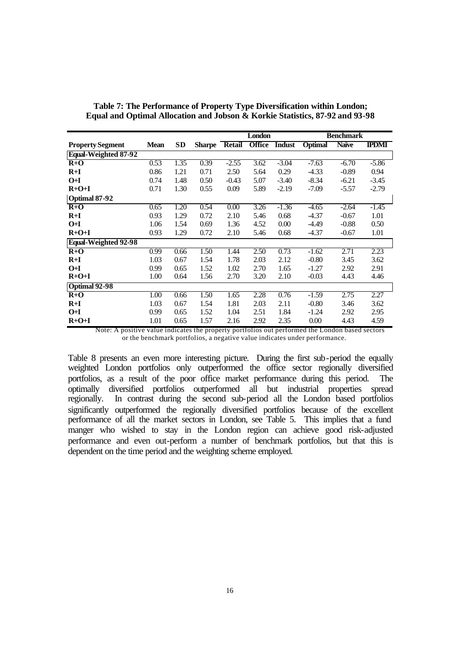|                             |             |           |               |         | London        |               |                | <b>Benchmark</b> |              |
|-----------------------------|-------------|-----------|---------------|---------|---------------|---------------|----------------|------------------|--------------|
| <b>Property Segment</b>     | <b>Mean</b> | <b>SD</b> | <b>Sharpe</b> | Retail  | <b>Office</b> | <b>Indust</b> | <b>Optimal</b> | <b>Naïve</b>     | <b>IPDMI</b> |
| <b>Equal-Weighted 87-92</b> |             |           |               |         |               |               |                |                  |              |
| $R+O$                       | 0.53        | 1.35      | 0.39          | $-2.55$ | 3.62          | $-3.04$       | $-7.63$        | $-6.70$          | $-5.86$      |
| $R+I$                       | 0.86        | 1.21      | 0.71          | 2.50    | 5.64          | 0.29          | $-4.33$        | $-0.89$          | 0.94         |
| $O+I$                       | 0.74        | 1.48      | 0.50          | $-0.43$ | 5.07          | $-3.40$       | $-8.34$        | $-6.21$          | $-3.45$      |
| $R+O+I$                     | 0.71        | 1.30      | 0.55          | 0.09    | 5.89          | $-2.19$       | $-7.09$        | $-5.57$          | $-2.79$      |
| Optimal 87-92               |             |           |               |         |               |               |                |                  |              |
| $R+O$                       | 0.65        | 1.20      | 0.54          | 0.00    | 3.26          | $-1.36$       | $-4.65$        | $-2.64$          | $-1.45$      |
| $R+I$                       | 0.93        | 1.29      | 0.72          | 2.10    | 5.46          | 0.68          | $-4.37$        | $-0.67$          | 1.01         |
| $O+I$                       | 1.06        | 1.54      | 0.69          | 1.36    | 4.52          | 0.00          | $-4.49$        | $-0.88$          | 0.50         |
| $R+O+I$                     | 0.93        | 1.29      | 0.72          | 2.10    | 5.46          | 0.68          | $-4.37$        | $-0.67$          | 1.01         |
| <b>Equal-Weighted 92-98</b> |             |           |               |         |               |               |                |                  |              |
| $R+O$                       | 0.99        | 0.66      | 1.50          | 1.44    | 2.50          | 0.73          | $-1.62$        | 2.71             | 2.23         |
| $R+I$                       | 1.03        | 0.67      | 1.54          | 1.78    | 2.03          | 2.12          | $-0.80$        | 3.45             | 3.62         |
| $O+I$                       | 0.99        | 0.65      | 1.52          | 1.02    | 2.70          | 1.65          | $-1.27$        | 2.92             | 2.91         |
| $R+O+I$                     | 1.00        | 0.64      | 1.56          | 2.70    | 3.20          | 2.10          | $-0.03$        | 4.43             | 4.46         |
| Optimal 92-98               |             |           |               |         |               |               |                |                  |              |
| $R+O$                       | 1.00        | 0.66      | 1.50          | 1.65    | 2.28          | 0.76          | $-1.59$        | 2.75             | 2.27         |
| $R+I$                       | 1.03        | 0.67      | 1.54          | 1.81    | 2.03          | 2.11          | $-0.80$        | 3.46             | 3.62         |
| $O+I$                       | 0.99        | 0.65      | 1.52          | 1.04    | 2.51          | 1.84          | $-1.24$        | 2.92             | 2.95         |
| $R+O+I$                     | 1.01        | 0.65      | 1.57          | 2.16    | 2.92          | 2.35          | 0.00           | 4.43             | 4.59         |

**Table 7: The Performance of Property Type Diversification within London; Equal and Optimal Allocation and Jobson & Korkie Statistics, 87-92 and 93-98**

Note: A positive value indicates the property portfolios out performed the London based sectors or the benchmark portfolios, a negative value indicates under performance.

Table 8 presents an even more interesting picture. During the first sub-period the equally weighted London portfolios only outperformed the office sector regionally diversified portfolios, as a result of the poor office market performance during this period. The optimally diversified portfolios outperformed all but industrial properties spread regionally. In contrast during the second sub-period all the London based portfolios significantly outperformed the regionally diversified portfolios because of the excellent performance of all the market sectors in London, see Table 5. This implies that a fund manger who wished to stay in the London region can achieve good risk-adjusted performance and even out-perform a number of benchmark portfolios, but that this is dependent on the time period and the weighting scheme employed.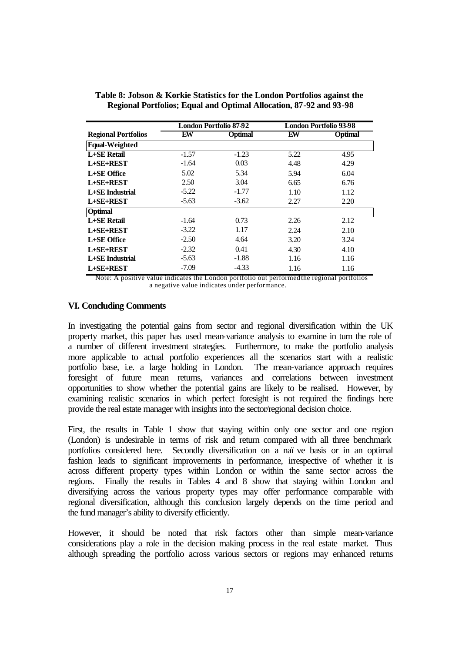|                            |         | <b>London Portfolio 87-92</b> | <b>London Portfolio 93-98</b> |         |  |
|----------------------------|---------|-------------------------------|-------------------------------|---------|--|
| <b>Regional Portfolios</b> | EW      | <b>Optimal</b>                | EW                            | Optimal |  |
| <b>Equal-Weighted</b>      |         |                               |                               |         |  |
| <b>L+SE</b> Retail         | $-1.57$ | $-1.23$                       | 5.22                          | 4.95    |  |
| L+SE+REST                  | $-1.64$ | 0.03                          | 4.48                          | 4.29    |  |
| $L+SE$ Office              | 5.02    | 5.34                          | 5.94                          | 6.04    |  |
| L+SE+REST                  | 2.50    | 3.04                          | 6.65                          | 6.76    |  |
| L+SE Industrial            | $-5.22$ | $-1.77$                       | 1.10                          | 1.12    |  |
| $L+SE+REST$                | $-5.63$ | $-3.62$                       | 2.27                          | 2.20    |  |
| <b>Optimal</b>             |         |                               |                               |         |  |
| <b>L+SE</b> Retail         | $-1.64$ | 0.73                          | 2.26                          | 2.12    |  |
| L+SE+REST                  | $-3.22$ | 1.17                          | 2.24                          | 2.10    |  |
| L+SE Office                | $-2.50$ | 4.64                          | 3.20                          | 3.24    |  |
| L+SE+REST                  | $-2.32$ | 0.41                          | 4.30                          | 4.10    |  |
| L+SE Industrial            | $-5.63$ | $-1.88$                       | 1.16                          | 1.16    |  |
| L+SE+REST                  | $-7.09$ | $-4.33$                       | 1.16                          | 1.16    |  |

**Table 8: Jobson & Korkie Statistics for the London Portfolios against the Regional Portfolios; Equal and Optimal Allocation, 87-92 and 93-98**

Note: A positive value indicates the London portfolio out performed the regional portfolios a negative value indicates under performance.

#### **VI. Concluding Comments**

In investigating the potential gains from sector and regional diversification within the UK property market, this paper has used mean-variance analysis to examine in turn the role of a number of different investment strategies. Furthermore, to make the portfolio analysis more applicable to actual portfolio experiences all the scenarios start with a realistic portfolio base, i.e. a large holding in London. The mean-variance approach requires foresight of future mean returns, variances and correlations between investment opportunities to show whether the potential gains are likely to be realised. However, by examining realistic scenarios in which perfect foresight is not required the findings here provide the real estate manager with insights into the sector/regional decision choice.

First, the results in Table 1 show that staying within only one sector and one region (London) is undesirable in terms of risk and return compared with all three benchmark portfolios considered here. Secondly diversification on a naïve basis or in an optimal fashion leads to significant improvements in performance, irrespective of whether it is across different property types within London or within the same sector across the regions. Finally the results in Tables 4 and 8 show that staying within London and diversifying across the various property types may offer performance comparable with regional diversification, although this conclusion largely depends on the time period and the fund manager's ability to diversify efficiently.

However, it should be noted that risk factors other than simple mean-variance considerations play a role in the decision making process in the real estate market. Thus although spreading the portfolio across various sectors or regions may enhanced returns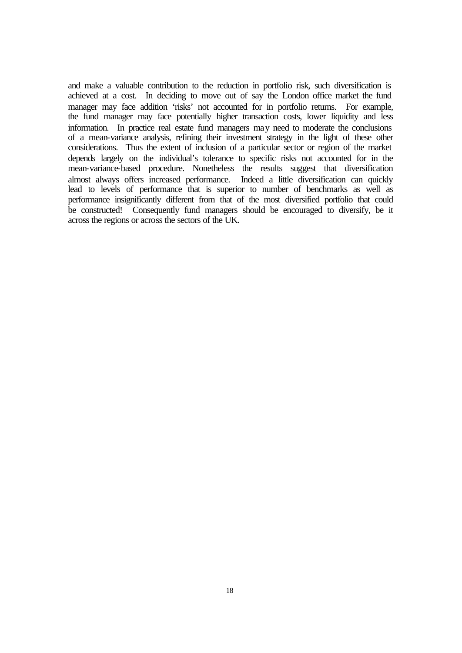and make a valuable contribution to the reduction in portfolio risk, such diversification is achieved at a cost. In deciding to move out of say the London office market the fund manager may face addition 'risks' not accounted for in portfolio returns. For example, the fund manager may face potentially higher transaction costs, lower liquidity and less information. In practice real estate fund managers may need to moderate the conclusions of a mean-variance analysis, refining their investment strategy in the light of these other considerations. Thus the extent of inclusion of a particular sector or region of the market depends largely on the individual's tolerance to specific risks not accounted for in the mean-variance-based procedure. Nonetheless the results suggest that diversification almost always offers increased performance. Indeed a little diversification can quickly lead to levels of performance that is superior to number of benchmarks as well as performance insignificantly different from that of the most diversified portfolio that could be constructed! Consequently fund managers should be encouraged to diversify, be it across the regions or across the sectors of the UK.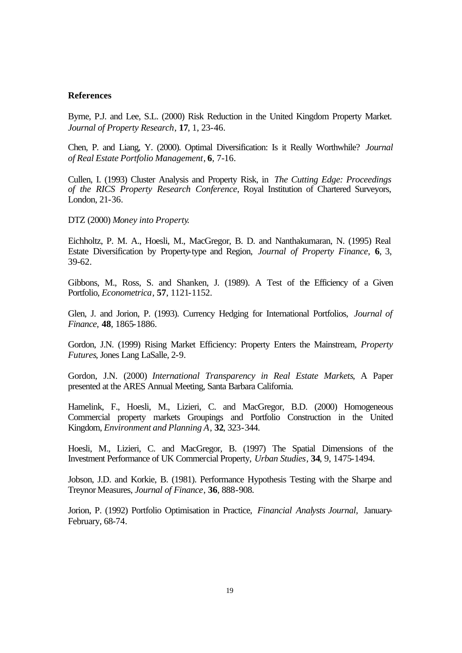#### **References**

Byrne, P.J. and Lee, S.L. (2000) Risk Reduction in the United Kingdom Property Market. *Journal of Property Research*, **17**, 1, 23-46.

Chen, P. and Liang, Y. (2000). Optimal Diversification: Is it Really Worthwhile? *Journal of Real Estate Portfolio Management*, **6**, 7-16.

Cullen, I. (1993) Cluster Analysis and Property Risk, in *The Cutting Edge: Proceedings of the RICS Property Research Conference*, Royal Institution of Chartered Surveyors, London, 21-36.

DTZ (2000) *Money into Property*.

Eichholtz, P. M. A., Hoesli, M., MacGregor, B. D. and Nanthakumaran, N. (1995) Real Estate Diversification by Property-type and Region, *Journal of Property Finance*, **6**, 3, 39-62.

Gibbons, M., Ross, S. and Shanken, J. (1989). A Test of the Efficiency of a Given Portfolio, *Econometrica*, **57**, 1121-1152.

Glen, J. and Jorion, P. (1993). Currency Hedging for International Portfolios, *Journal of Finance,* **48**, 1865-1886.

Gordon, J.N. (1999) Rising Market Efficiency: Property Enters the Mainstream, *Property Futures*, Jones Lang LaSalle, 2-9.

Gordon, J.N. (2000) *International Transparency in Real Estate Markets*, A Paper presented at the ARES Annual Meeting, Santa Barbara California.

Hamelink, F., Hoesli, M., Lizieri, C. and MacGregor, B.D. (2000) Homogeneous Commercial property markets Groupings and Portfolio Construction in the United Kingdom, *Environment and Planning A*, **32**, 323-344.

Hoesli, M., Lizieri, C. and MacGregor, B. (1997) The Spatial Dimensions of the Investment Performance of UK Commercial Property, *Urban Studies*, **34**, 9, 1475-1494.

Jobson, J.D. and Korkie, B. (1981). Performance Hypothesis Testing with the Sharpe and Treynor Measures, *Journal of Finance*, **36**, 888-908.

Jorion, P. (1992) Portfolio Optimisation in Practice, *Financial Analysts Journal,* January-February, 68-74.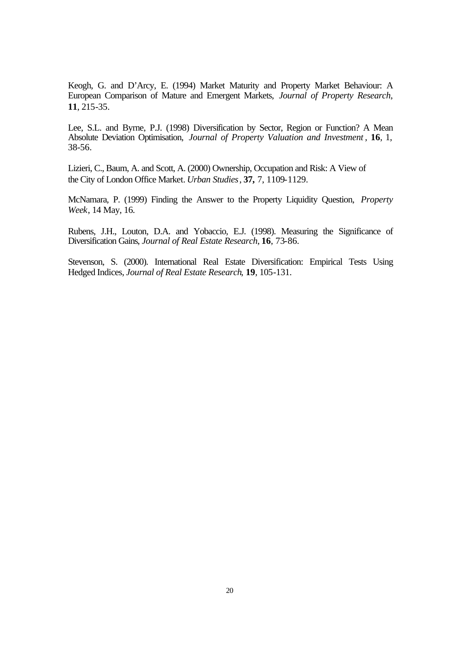Keogh, G. and D'Arcy, E. (1994) Market Maturity and Property Market Behaviour: A European Comparison of Mature and Emergent Markets, *Journal of Property Research*, **11**, 215-35.

Lee, S.L. and Byrne, P.J. (1998) Diversification by Sector, Region or Function? A Mean Absolute Deviation Optimisation, *Journal of Property Valuation and Investment* , **16**, 1, 38-56.

Lizieri, C., Baum, A. and Scott, A. (2000) Ownership, Occupation and Risk: A View of the City of London Office Market. *Urban Studies*, **37,** 7, 1109-1129.

McNamara, P. (1999) Finding the Answer to the Property Liquidity Question, *Property Week*, 14 May, 16.

Rubens, J.H., Louton, D.A. and Yobaccio, E.J. (1998). Measuring the Significance of Diversification Gains, *Journal of Real Estate Research*, **16**, 73-86.

Stevenson, S. (2000). International Real Estate Diversification: Empirical Tests Using Hedged Indices, *Journal of Real Estate Research*, **19**, 105-131.